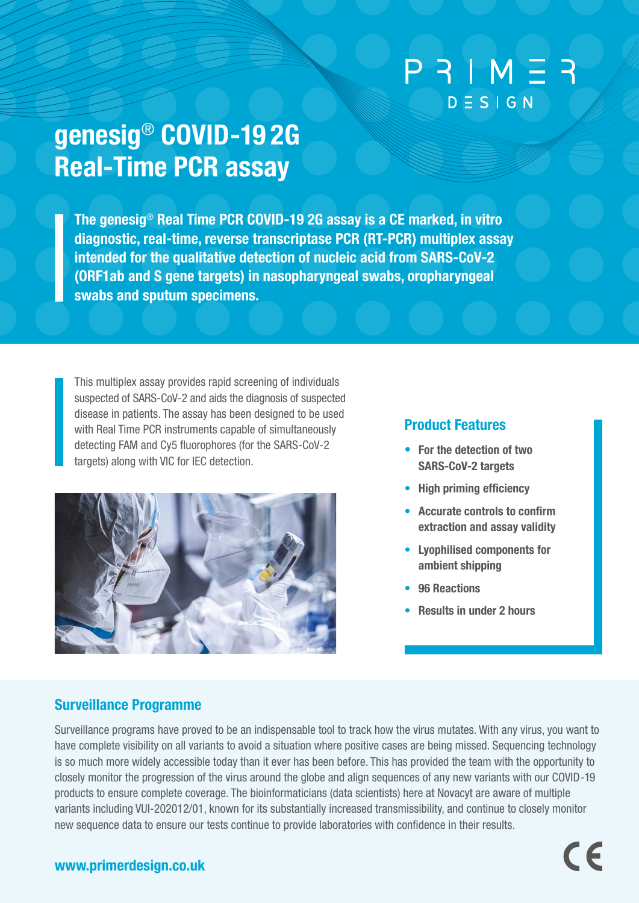# $P 3IM 53$  $D \equiv S \mid G \mid N$

# genesig® COVID-19 2G Real-Time PCR assay

The genesig® Real Time PCR COVID-19 2G assay is a CE marked, in vitro diagnostic, real-time, reverse transcriptase PCR (RT-PCR) multiplex assay intended for the qualitative detection of nucleic acid from SARS-CoV-2 (ORF1ab and S gene targets) in nasopharyngeal swabs, oropharyngeal swabs and sputum specimens.

This multiplex assay provides rapid screening of individuals suspected of SARS-CoV-2 and aids the diagnosis of suspected disease in patients. The assay has been designed to be used with Real Time PCR instruments capable of simultaneously detecting FAM and Cy5 fluorophores (for the SARS-CoV-2 targets) along with VIC for IEC detection.



# Product Features

- For the detection of two SARS-CoV-2 targets
- High priming efficiency
- Accurate controls to confirm extraction and assay validity
- Lyophilised components for ambient shipping
- 96 Reactions
- Results in under 2 hours

 $\epsilon$ 

# Surveillance Programme

Surveillance programs have proved to be an indispensable tool to track how the virus mutates. With any virus, you want to have complete visibility on all variants to avoid a situation where positive cases are being missed. Sequencing technology is so much more widely accessible today than it ever has been before. This has provided the team with the opportunity to closely monitor the progression of the virus around the globe and align sequences of any new variants with our COVID-19 products to ensure complete coverage. The bioinformaticians (data scientists) here at Novacyt are aware of multiple variants including VUI-202012/01, known for its substantially increased transmissibility, and continue to closely monitor new sequence data to ensure our tests continue to provide laboratories with confidence in their results.